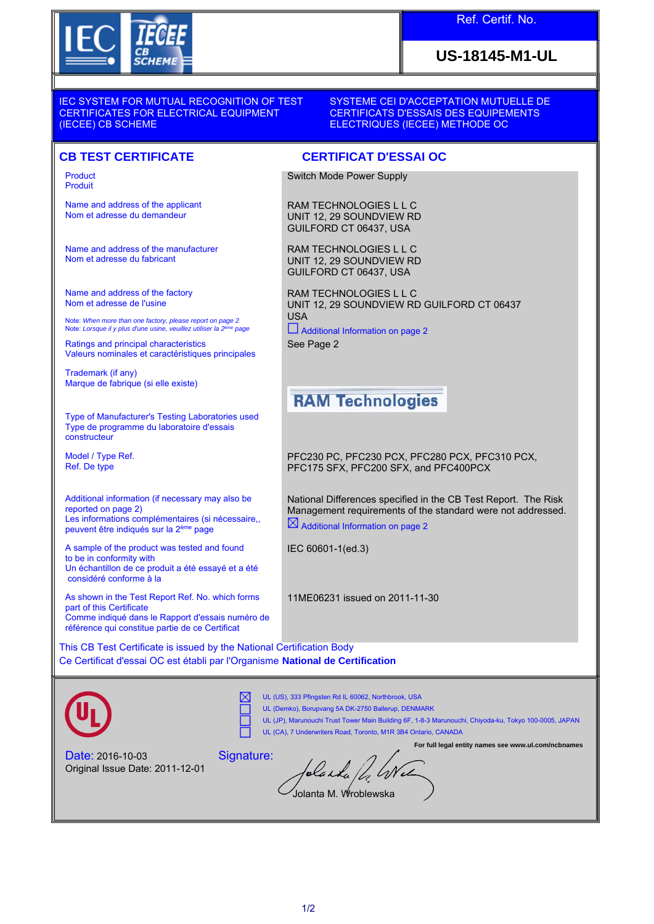

### Ref. Certif. No.

## **US-18145-M1-UL**

IEC SYSTEM FOR MUTUAL RECOGNITION OF TEST CERTIFICATES FOR ELECTRICAL EQUIPMENT (IECEE) CB SCHEME

SYSTEME CEI D'ACCEPTATION MUTUELLE DE CERTIFICATS D'ESSAIS DES EQUIPEMENTS ELECTRIQUES (IECEE) METHODE OC

#### **CB TEST CERTIFICATE CERTIFICAT D'ESSAI OC**

Product Produit

Name and address of the applicant Nom et adresse du demandeur

Name and address of the manufacturer Nom et adresse du fabricant

Name and address of the factory Nom et adresse de l'usine

Note: *When more than one factory, please report on page 2*<br>Note: *Lorsque il y plus d'une usine, veuillez utiliser la 2<sup>ème</sup> page* 

Ratings and principal characteristics Valeurs nominales et caractéristiques principales

Trademark (if any) Marque de fabrique (si elle existe)

Type of Manufacturer's Testing Laboratories used Type de programme du laboratoire d'essais **constructeur** 

Model / Type Ref. Ref. De type

Additional information (if necessary may also be reported on page 2) Les informations complémentaires (si nécessaire,, peuvent être indiqués sur la 2ème page

A sample of the product was tested and found to be in conformity with Un échantillon de ce produit a été essayé et a été considéré conforme à la

As shown in the Test Report Ref. No. which forms part of this Certificate Comme indiqué dans le Rapport d'essais numéro de référence qui constitue partie de ce Certificat

Switch Mode Power Supply

RAM TECHNOLOGIES L L C UNIT 12, 29 SOUNDVIEW RD GUILFORD CT 06437, USA

RAM TECHNOLOGIES L L C UNIT 12, 29 SOUNDVIEW RD GUILFORD CT 06437, USA

RAM TECHNOLOGIES L L C UNIT 12, 29 SOUNDVIEW RD GUILFORD CT 06437 USA

 Additional Information on page 2 See Page 2

# **RAM Technologies**

PFC230 PC, PFC230 PCX, PFC280 PCX, PFC310 PCX, PFC175 SFX, PFC200 SFX, and PFC400PCX

National Differences specified in the CB Test Report. The Risk Management requirements of the standard were not addressed.  $\boxtimes$  Additional Information on page 2

IEC 60601-1(ed.3)

11ME06231 issued on 2011-11-30

This CB Test Certificate is issued by the National Certification Body Ce Certificat d'essai OC est établi par l'Organisme **National de Certification**



UL (US), 333 Pfingsten Rd IL 60062, Northbrook, USA ⋉

UL (Demko), Borupvang 5A DK-2750 Ballerup, DENMARK

UL (JP), Marunouchi Trust Tower Main Building 6F, 1-8-3 Marunouchi, Chiyoda-ku, Tokyo 100-0005, JAPAN UL (CA), 7 Underwriters Road, Toronto, M1R 3B4 Ontario, CANADA

Date: 2016-10-03 Original Issue Date: 2011-12-01

**For full legal entity names see www.ul.com/ncbnames** Signature: blanka / 4 W Jolanta M. Wroblewska